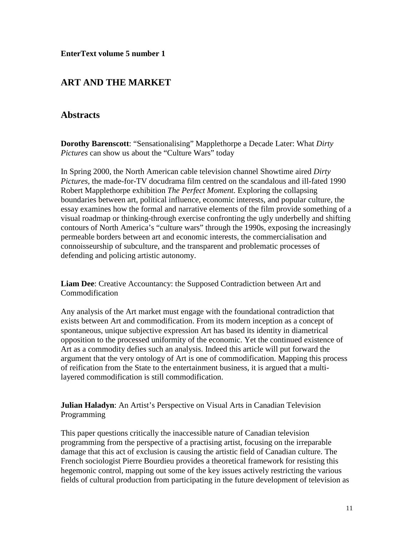## **ART AND THE MARKET**

## **Abstracts**

**Dorothy Barenscott**: "Sensationalising" Mapplethorpe a Decade Later: What *Dirty Pictures* can show us about the "Culture Wars" today

In Spring 2000, the North American cable television channel Showtime aired *Dirty Pictures,* the made-for-TV docudrama film centred on the scandalous and ill-fated 1990 Robert Mapplethorpe exhibition *The Perfect Moment.* Exploring the collapsing boundaries between art, political influence, economic interests, and popular culture, the essay examines how the formal and narrative elements of the film provide something of a visual roadmap or thinking-through exercise confronting the ugly underbelly and shifting contours of North America's "culture wars" through the 1990s, exposing the increasingly permeable borders between art and economic interests, the commercialisation and connoisseurship of subculture, and the transparent and problematic processes of defending and policing artistic autonomy.

**Liam Dee**: Creative Accountancy: the Supposed Contradiction between Art and Commodification

Any analysis of the Art market must engage with the foundational contradiction that exists between Art and commodification. From its modern inception as a concept of spontaneous, unique subjective expression Art has based its identity in diametrical opposition to the processed uniformity of the economic. Yet the continued existence of Art as a commodity defies such an analysis. Indeed this article will put forward the argument that the very ontology of Art is one of commodification. Mapping this process of reification from the State to the entertainment business, it is argued that a multilayered commodification is still commodification.

**Julian Haladyn**: An Artist's Perspective on Visual Arts in Canadian Television Programming

This paper questions critically the inaccessible nature of Canadian television programming from the perspective of a practising artist, focusing on the irreparable damage that this act of exclusion is causing the artistic field of Canadian culture. The French sociologist Pierre Bourdieu provides a theoretical framework for resisting this hegemonic control, mapping out some of the key issues actively restricting the various fields of cultural production from participating in the future development of television as